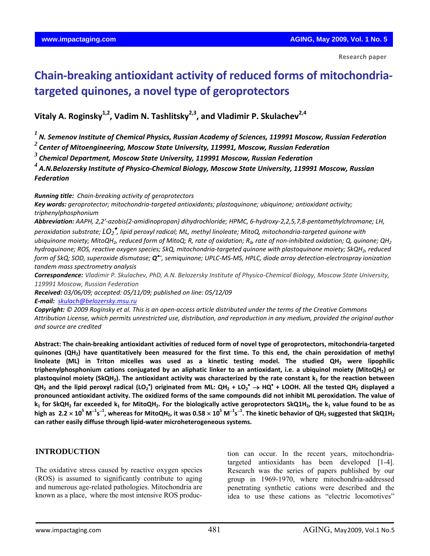# **Chain‐breaking antioxidant activity of reduced forms of mitochondria‐ targeted quinones, a novel type of geroprotectors**

**Vitaly A. Roginsky1,2, Vadim N. Tashlitsky2,3, and Vladimir P. Skulachev2,4**

*<sup>1</sup> N. Semenov Institute of Chemical Physics, Russian Academy of Sciences, 119991 Moscow, Russian Federation*

*<sup>2</sup>Center of Mitoengineering, Moscow State University, 119991, Moscow, Russian Federation*

*<sup>3</sup> Chemical Department, Moscow State University, 119991 Moscow, Russian Federation*

*<sup>4</sup> A.N.Belozersky Institute of Physico‐Chemical Biology, Moscow State University, 119991 Moscow, Russian Federation* 

*Running title: Chain‐breaking activity of geroprotectors*

*Key words: geroprotector; mitochondria‐targeted antioxidants; plastoquinone; ubiquinone; antioxidant activity; triphenylphosphonium*

Abbreviation: AAPH, 2,2'-azobis(2-amidinopropan) dihydrochloride; HPMC, 6-hydroxy-2,2,5,7,8-pentamethylchromane; LH, peroxidation substrate;  $\mathsf{LO}_2$  , lipid peroxyl radical; ML, methyl linoleate; MitoQ, mitochondria-targeted quinone with

ubiquinone moiety; MitoQH<sub>2</sub>, reduced form of MitoQ; R, rate of oxidation; R<sub>0</sub>, rate of non-inhibited oxidation; Q, quinone; QH<sub>2</sub> hydroquinone; ROS, reactive oxygen species; SkQ, mitochondria-targeted quinone with plastoquinone moiety; SkQH2, reduced form of SkQ; SOD, superoxide dismutase;  $Q^{\bullet}$ , semiquinone; UPLC-MS-MS, HPLC, diode array detection-electrospray ionization *tandem mass spectrometry analysis*

Correspondence: Vladimir P. Skulachev, PhD, A.N. Belozersky Institute of Physico-Chemical Biology, Moscow State University, *119991 Moscow, Russian Federation*

*Received: 03/06/09; accepted: 05/11/09; published on line: 05/12/09*

*E‐mail: [skulach@belozersky.msu.ru](mailto:skulach@belozersky.msu.ru)*

Copyright: © 2009 Roginsky et al. This is an open-access article distributed under the terms of the Creative Commons Attribution License, which permits unrestricted use, distribution, and reproduction in any medium, provided the original author *and source are credited*

Abstract: The chain-breaking antioxidant activities of reduced form of novel type of geroprotectors, mitochondria-targeted quinones (QH<sub>2</sub>) have quantitatively been measured for the first time. To this end, the chain peroxidation of methyl **linoleate (ML) in Triton micelles was used as a kinetic testing model. The studied QH2 were lipophilic** triphenylphosphonium cations conjugated by an aliphatic linker to an antioxidant, i.e. a ubiquinol moiety (MitoQH<sub>2</sub>) or plastoquinol moiety (SkQH<sub>2</sub>). The antioxidant activity was characterized by the rate constant k<sub>1</sub> for the reaction between QH<sub>2</sub> and the lipid peroxyl radical (LO<sub>2</sub><sup>\*</sup>) originated from ML: QH<sub>2</sub> + LO<sub>2</sub><sup>\*</sup>  $\to$  HQ<sup>\*</sup> + LOOH. All the tested QH<sub>2</sub> displayed a pronounced antioxidant activity. The oxidized forms of the same compounds did not inhibit ML peroxidation. The value of  $k_1$  for SkQH<sub>2</sub> far exceeded  $k_1$  for MitoQH<sub>2</sub>. For the biologically active geroprotectors SkQ1H<sub>2</sub>, the  $k_1$  value found to be as high as  $2.2\times10^5$  M $^{-1}$ s $^{-1}$ , whereas for MitoQH<sub>2</sub>, it was 0.58  $\times$  10<sup>5</sup> M $^{-1}$ s $^{-1}$ . The kinetic behavior of QH<sub>2</sub> suggested that SkQ1H<sub>2</sub> **can rather easily diffuse through lipid‐water microheterogeneous systems.** 

#### **INTRODUCTION**

The oxidative stress caused by reactive oxygen species (ROS) is assumed to significantly contribute to aging and numerous age-related pathologies. Mitochondria are known as a place, where the most intensive ROS production can occur. In the recent years, mitochondriatargeted antioxidants has been developed [1-4]. Research was the series of papers published by our group in 1969-1970, where mitochondria-addressed penetrating synthetic cations were described and the idea to use these cations as "electric locomotives"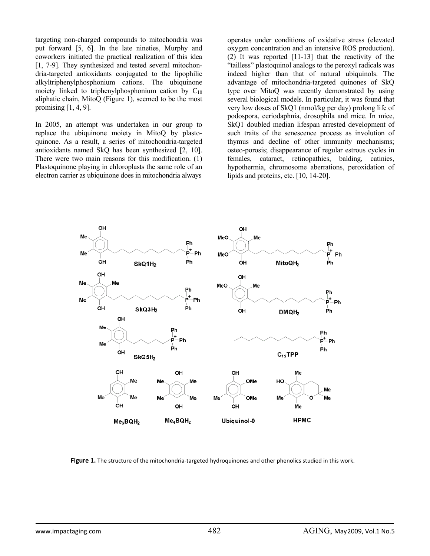targeting non-charged compounds to mitochondria was put forward [5, 6]. In the late nineties, Murphy and coworkers initiated the practical realization of this idea [1, 7-9]. They synthesized and tested several mitochondria-targeted antioxidants conjugated to the lipophilic alkyltriphenylphosphonium cations. The ubiquinone moiety linked to triphenylphosphonium cation by  $C_{10}$ aliphatic chain, MitoQ (Figure 1), seemed to be the most promising  $[1, 4, 9]$ .

In 2005, an attempt was undertaken in our group to replace the ubiquinone moiety in MitoQ by plastoquinone. As a result, a series of mitochondria-targeted antioxidants named SkQ has been synthesized [2, 10]. There were two main reasons for this modification. (1) Plastoquinone playing in chloroplasts the same role of an electron carrier as ubiquinone does in mitochondria always

operates under conditions of oxidative stress (elevated oxygen concentration and an intensive ROS production). (2) It was reported [11-13] that the reactivity of the "tailless" plastoquinol analogs to the peroxyl radicals was indeed higher than that of natural ubiquinols. The advantage of mitochondria-targeted quinones of SkQ type over MitoQ was recently demonstrated by using several biological models. In particular, it was found that very low doses of SkQ1 (nmol/kg per day) prolong life of podospora, ceriodaphnia, drosophila and mice. In mice, SkQ1 doubled median lifespan arrested development of such traits of the senescence process as involution of thymus and decline of other immunity mechanisms; osteo-porosis; disappearance of regular estrous cycles in females, cataract, retinopathies, balding, catinies, hypothermia, chromosome aberrations, peroxidation of lipids and proteins, etc. [10, 14-20].



**Figure 1.** The structure of the mitochondria-targeted hydroquinones and other phenolics studied in this work.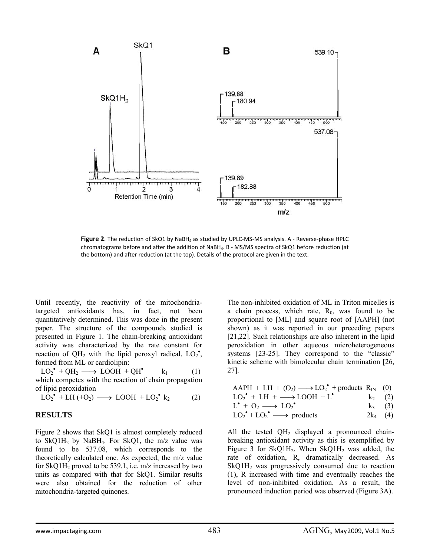

Figure 2. The reduction of SkQ1 by NaBH<sub>4</sub> as studied by UPLC-MS-MS analysis. A - Reverse-phase HPLC chromatograms before and after the addition of NaBH<sub>4</sub>. B - MS/MS spectra of SkQ1 before reduction (at the bottom) and after reduction (at the top). Details of the protocol are given in the text.

Until recently, the reactivity of the mitochondriatargeted antioxidants has, in fact, not been quantitatively determined. This was done in the present paper. The structure of the compounds studied is presented in Figure 1. The chain-breaking antioxidant activity was characterized by the rate constant for reaction of QH<sub>2</sub> with the lipid peroxyl radical,  $LO_2^{\bullet}$ , formed from ML or cardiolipin:

 $LO_2^{\bullet} + QH_2 \longrightarrow LOOH + QH^{\bullet}$  $k_1$  (1) which competes with the reaction of chain propagation of lipid peroxidation

$$
LO_2^{\bullet} + LH + O_2) \longrightarrow LOOH + LO_2^{\bullet} k_2 \tag{2}
$$

#### **RESULTS**

Figure 2 shows that SkQ1 is almost completely reduced to SkQ1H<sub>2</sub> by NaBH<sub>4</sub>. For SkQ1, the m/z value was found to be 537.08, which corresponds to the theoretically calculated one. As expected, the m/z value for SkQ1H2 proved to be 539.1, i.e. m/z increased by two units as compared with that for SkQ1. Similar results were also obtained for the reduction of other mitochondria-targeted quinones.

The non-inhibited oxidation of ML in Triton micelles is a chain process, which rate,  $R_0$ , was found to be proportional to [ML] and square root of [AAPH] (not shown) as it was reported in our preceding papers [21,22]. Such relationships are also inherent in the lipid peroxidation in other aqueous microheterogeneous systems [23-25]. They correspond to the "classic" kinetic scheme with bimolecular chain termination [26, 27].

| $AAPH + LH + (O_2) \longrightarrow LO_2^{\bullet}$ + products $R_{IN}$ (0)         |           |
|------------------------------------------------------------------------------------|-----------|
| $LO_2^{\bullet}$ + LH + $\longrightarrow$ LOOH + L <sup><math>\bullet</math></sup> | $k_2$ (2) |
| $L^{\bullet}$ + O <sub>2</sub> $\longrightarrow$ LO <sub>2</sub> $^{\bullet}$      | $k_3$ (3) |

$$
LO_2^{\bullet} + LO_2^{\bullet} \longrightarrow products \qquad \qquad 2k_4 \quad (4)
$$

All the tested  $QH_2$  displayed a pronounced chainbreaking antioxidant activity as this is exemplified by Figure 3 for SkQ1H<sub>2</sub>. When SkQ1H<sub>2</sub> was added, the rate of oxidation, R, dramatically decreased. As  $SkQ1H<sub>2</sub>$  was progressively consumed due to reaction (1), R increased with time and eventually reaches the level of non-inhibited oxidation. As a result, the pronounced induction period was observed (Figure 3A).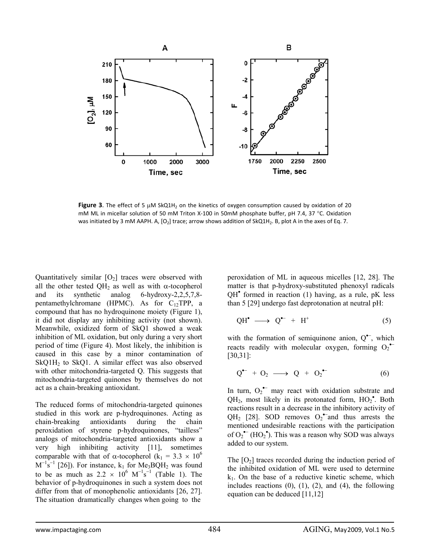

**Figure 3**. The effect of 5 μM SkQ1H<sub>2</sub> on the kinetics of oxygen consumption caused by oxidation of 20 mM ML in micellar solution of 50 mM Triton X-100 in 50mM phosphate buffer, pH 7.4, 37 °C. Oxidation was initiated by 3 mM AAPH. A,  $[O_2]$  trace; arrow shows addition of SkQ1H<sub>2</sub>. B, plot A in the axes of Eq. 7.

Quantitatively similar  $[O_2]$  traces were observed with all the other tested QH<sub>2</sub> as well as with  $\alpha$ -tocopherol and its synthetic analog 6-hydroxy-2,2,5,7,8 pentamethylchromane (HPMC). As for  $C_{12}TPP$ , a compound that has no hydroquinone moiety (Figure 1), it did not display any inhibiting activity (not shown). Meanwhile, oxidized form of SkQ1 showed a weak inhibition of ML oxidation, but only during a very short period of time (Figure 4). Most likely, the inhibition is caused in this case by a minor contamination of SkQ1H2 to SkQ1. A similar effect was also observed with other mitochondria-targeted Q. This suggests that mitochondria-targeted quinones by themselves do not act as a chain-breaking antioxidant.

The reduced forms of mitochondria-targeted quinones studied in this work are p-hydroquinones. Acting as chain-breaking antioxidants during the chain peroxidation of styrene p-hydroquinones, "tailless" analogs of mitochondria-targeted antioxidants show a very high inhibiting activity [11], sometimes comparable with that of  $\alpha$ -tocopherol (k<sub>1</sub> = 3.3  $\times$  10<sup>6</sup>)  $M^{-1}$ s<sup>-1</sup> [26]). For instance, k<sub>1</sub> for Me<sub>3</sub>BQH<sub>2</sub> was found to be as much as  $2.2 \times 10^6 \text{ M}^{-1} \text{s}^{-1}$  (Table 1). The behavior of p-hydroquinones in such a system does not differ from that of monophenolic antioxidants [26, 27]. The situation dramatically changes when going to the

peroxidation of ML in aqueous micelles [12, 28]. The matter is that p-hydroxy-substituted phenoxyl radicals QH• formed in reaction (1) having, as a rule, pK less than 5 [29] undergo fast deprotonation at neutral pH:

$$
\text{QH}^{\bullet} \longrightarrow \text{Q}^{\bullet-} + \text{H}^{\dagger} \tag{5}
$$

with the formation of semiquinone anion, Q<sup>•–</sup>, which reacts readily with molecular oxygen, forming  $O_2$ <sup>•</sup> [30,31]:

$$
Q^{\bullet-} + Q_2 \longrightarrow Q + Q_2^{\bullet-} \tag{6}
$$

In turn,  $O_2^{\bullet-}$  may react with oxidation substrate and  $QH_2$ , most likely in its protonated form,  $HO_2^{\bullet}$ . Both reactions result in a decrease in the inhibitory activity of QH<sub>2</sub> [28]. SOD removes  $O_2^{\bullet-}$  and thus arrests the mentioned undesirable reactions with the participation of  $O_2^{\bullet-}$  (HO<sub>2</sub><sup>•</sup>). This was a reason why SOD was always added to our system.

The  $[O_2]$  traces recorded during the induction period of the inhibited oxidation of ML were used to determine  $k_1$ . On the base of a reductive kinetic scheme, which includes reactions  $(0)$ ,  $(1)$ ,  $(2)$ , and  $(4)$ , the following equation can be deduced [11,12]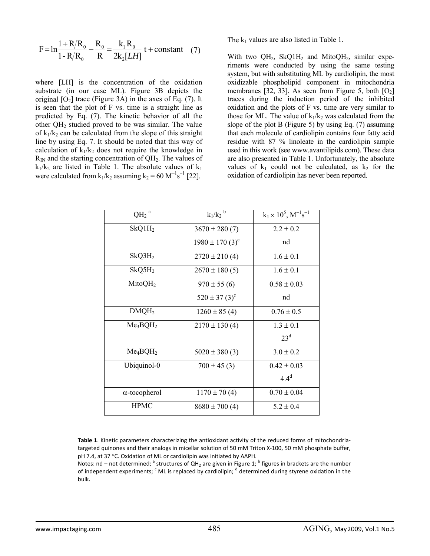$$
F = \ln \frac{1 + R/R_0}{1 - R/R_0} - \frac{R_0}{R} = \frac{k_1 R_0}{2k_2 [LH]} t + constant \quad (7)
$$

where [LH] is the concentration of the oxidation substrate (in our case ML). Figure 3B depicts the original  $[O_2]$  trace (Figure 3A) in the axes of Eq. (7). It is seen that the plot of F vs. time is a straight line as predicted by Eq. (7). The kinetic behavior of all the other QH2 studied proved to be was similar. The value of  $k_1/k_2$  can be calculated from the slope of this straight line by using Eq. 7. It should be noted that this way of calculation of  $k_1/k_2$  does not require the knowledge in  $R_{IN}$  and the starting concentration of  $QH_2$ . The values of  $k_1/k_2$  are listed in Table 1. The absolute values of  $k_1$ were calculated from  $k_1/k_2$  assuming  $k_2 = 60 \text{ M}^{-1} \text{s}^{-1}$  [22].

The  $k_1$  values are also listed in Table 1.

With two QH<sub>2</sub>, SkQ1H<sub>2</sub> and MitoQH<sub>2</sub>, similar experiments were conducted by using the same testing system, but with substituting ML by cardiolipin, the most oxidizable phospholipid component in mitochondria membranes [32, 33]. As seen from Figure 5, both  $[O_2]$ traces during the induction period of the inhibited oxidation and the plots of F vs. time are very similar to those for ML. The value of  $k_1/k_2$  was calculated from the slope of the plot B (Figure 5) by using Eq. (7) assuming that each molecule of cardiolipin contains four fatty acid residue with 87 % linoleate in the cardiolipin sample used in this work (see www.avantilipids.com). These data are also presented in Table 1. Unfortunately, the absolute values of  $k_1$  could not be calculated, as  $k_2$  for the oxidation of cardiolipin has never been reported.

| $QH_2$ <sup>a</sup>              | $k_1/k_2$ <sup>b</sup>          | $k_1 \times 10^5$ , $M^{-1} s^{-1}$ |
|----------------------------------|---------------------------------|-------------------------------------|
| $SkQ1H_2$                        | $3670 \pm 280(7)$               | $2.2 \pm 0.2$                       |
|                                  | $1980 \pm 170$ (3) <sup>c</sup> | nd                                  |
| $SkQ3H_2$                        | $2720 \pm 210(4)$               | $1.6 \pm 0.1$                       |
| $SkQ5H_2$                        | $2670 \pm 180$ (5)              | $1.6 \pm 0.1$                       |
| MitoQH <sub>2</sub>              | $970 \pm 55(6)$                 | $0.58 \pm 0.03$                     |
|                                  | $520 \pm 37 (3)^c$              | nd                                  |
| DMQH <sub>2</sub>                | $1260 \pm 85(4)$                | $0.76 \pm 0.5$                      |
| Me <sub>3</sub> BQH <sub>2</sub> | $2170 \pm 130(4)$               | $1.3 \pm 0.1$                       |
|                                  |                                 | 23 <sup>d</sup>                     |
| $Me_4BOH_2$                      | $5020 \pm 380(3)$               | $3.0 \pm 0.2$                       |
| Ubiquinol-0                      | $700 \pm 45$ (3)                | $0.42 \pm 0.03$                     |
|                                  |                                 | $4.4^d$                             |
| $\alpha$ -tocopherol             | $1170 \pm 70(4)$                | $0.70 \pm 0.04$                     |
| <b>HPMC</b>                      | $8680 \pm 700$ (4)              | $5.2 \pm 0.4$                       |

**Table 1**. Kinetic parameters characterizing the antioxidant activity of the reduced forms of mitochondria‐ targeted quinones and their analogs in micellar solution of 50 mM Triton X‐100, 50 mM phosphate buffer, pH 7.4, at 37 °C. Oxidation of ML or cardiolipin was initiated by AAPH.

Notes: nd – not determined;  $^a$  structures of QH<sub>2</sub> are given in Figure 1;  $^b$  figures in brackets are the number of independent experiments; <sup>c</sup> ML is replaced by cardiolipin; <sup>d</sup> determined during styrene oxidation in the bulk.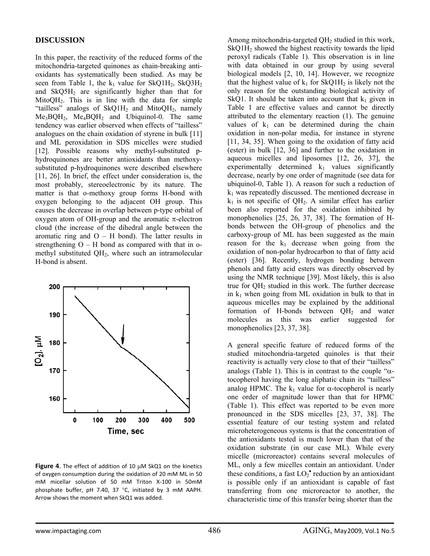## **DISCUSSION**

In this paper, the reactivity of the reduced forms of the mitochondria-targeted quinones as chain-breaking antioxidants has systematically been studied. As may be seen from Table 1, the  $k_1$  value for SkQ1H<sub>2</sub>, SkQ3H<sub>2</sub> and  $SkQ5H<sub>2</sub>$  are significantly higher than that for MitoQH2. This is in line with the data for simple "tailless" analogs of  $SkQ1H_2$  and  $MitoQH_2$ , namely  $Me<sub>3</sub>BQH<sub>2</sub>$ ,  $Me<sub>4</sub>BQH<sub>2</sub>$  and Ubiquinol-0. The same tendency was earlier observed when effects of "tailless" analogues on the chain oxidation of styrene in bulk [11] and ML peroxidation in SDS micelles were studied [12]. Possible reasons why methyl-substituted phydroquinones are better antioxidants than methoxysubstituted p-hydroquinones were described elsewhere [11, 26]. In brief, the effect under consideration is, the most probably, stereoelectronic by its nature. The matter is that o-methoxy group forms H-bond with oxygen belonging to the adjacent OH group. This causes the decrease in overlap between p-type orbital of oxygen atom of OH-group and the aromatic π-electron cloud (the increase of the dihedral angle between the aromatic ring and  $O - H$  bond). The latter results in strengthening  $O - H$  bond as compared with that in omethyl substituted QH2, where such an intramolecular H-bond is absent.



**Figure 4**. The effect of addition of 10 μM SkQ1 on the kinetics of oxygen consumption during the oxidation of 20 mM ML in 50 mM micellar solution of 50 mM Triton X‐100 in 50mM phosphate buffer, pH 7.40, 37 °C, initiated by 3 mM AAPH. Arrow shows the moment when SkQ1 was added.

Among mitochondria-targeted  $OH<sub>2</sub>$  studied in this work,  $SkQ1H<sub>2</sub>$  showed the highest reactivity towards the lipid peroxyl radicals (Table 1). This observation is in line with data obtained in our group by using several biological models [2, 10, 14]. However, we recognize that the highest value of  $k_1$  for SkQ1H<sub>2</sub> is likely not the only reason for the outstanding biological activity of SkQ1. It should be taken into account that  $k_1$  given in Table 1 are effective values and cannot be directly attributed to the elementary reaction (1). The genuine values of  $k_1$  can be determined during the chain oxidation in non-polar media, for instance in styrene [11, 34, 35]. When going to the oxidation of fatty acid (ester) in bulk [12, 36] and further to the oxidation in aqueous micelles and liposomes [12, 26, 37], the experimentally determined  $k_1$  values significantly decrease, nearly by one order of magnitude (see data for ubiquinol-0, Table 1). A reason for such a reduction of  $k_1$  was repeatedly discussed. The mentioned decrease in  $k_1$  is not specific of QH<sub>2</sub>. A similar effect has earlier been also reported for the oxidation inhibited by monophenolics [25, 26, 37, 38]. The formation of Hbonds between the OH-group of phenolics and the carboxy-group of ML has been suggested as the main reason for the  $k_1$  decrease when going from the oxidation of non-polar hydrocarbon to that of fatty acid (ester) [36]. Recently, hydrogen bonding between phenols and fatty acid esters was directly observed by using the NMR technique [39]. Most likely, this is also true for QH2 studied in this work. The further decrease in  $k_1$  when going from ML oxidation in bulk to that in aqueous micelles may be explained by the additional formation of H-bonds between  $OH<sub>2</sub>$  and water molecules as this was earlier suggested for monophenolics [23, 37, 38].

A general specific feature of reduced forms of the studied mitochondria-targeted quinoles is that their reactivity is actually very close to that of their "tailless" analogs (Table 1). This is in contrast to the couple " $\alpha$ tocopherol having the long aliphatic chain its "tailless" analog HPMC. The  $k_1$  value for  $\alpha$ -tocopherol is nearly one order of magnitude lower than that for HPMC (Table 1). This effect was reported to be even more pronounced in the SDS micelles [23, 37, 38]. The essential feature of our testing system and related microheterogeneous systems is that the concentration of the antioxidants tested is much lower than that of the oxidation substrate (in our case ML). While every micelle (microreactor) contains several molecules of ML, only a few micelles contain an antioxidant. Under these conditions, a fast  $LO_2^{\bullet}$  reduction by an antioxidant is possible only if an antioxidant is capable of fast transferring from one microreactor to another, the characteristic time of this transfer being shorter than the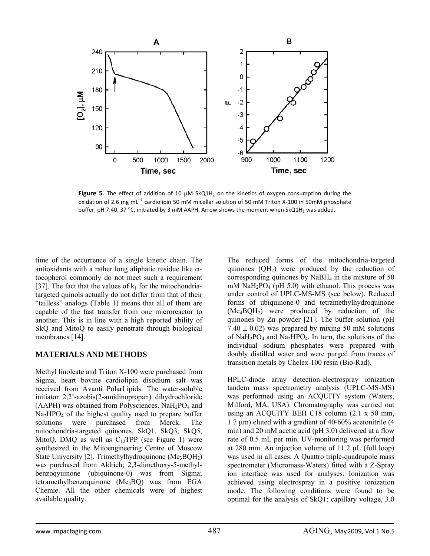

**Figure 5**. The effect of addition of 10 μM SkQ1H<sub>2</sub> on the kinetics of oxygen consumption during the oxidation of 2.6 mg mL<sup>-1</sup> cardiolipin 50 mM micellar solution of 50 mM Triton X-100 in 50mM phosphate buffer, pH 7.40, 37 °C, initiated by 3 mM AAPH. Arrow shows the moment when SkQ1H<sub>2</sub> was added.

time of the occurrence of a single kinetic chain. The antioxidants with a rather long aliphatic residue like  $\alpha$ tocopherol commonly do not meet such a requirement [37]. The fact that the values of  $k_1$  for the mitochondriatargeted quinols actually do not differ from that of their "tailless" analogs (Table 1) means that all of them are capable of the fast transfer from one microreactor to another. This is in line with a high reported ability of SkQ and MitoQ to easily penetrate through biological membranes [14].

## **MATERIALS AND METHODS**

Methyl linoleate and Triton X-100 were purchased from Sigma, heart bovine cardiolipin disodium salt was received from Avanti PolarLipids. The water-soluble initiator 2,2'-azobis(2-amidinopropan) dihydrochloride  $(AAPH)$  was obtained from Polysciences. NaH<sub>2</sub>PO<sub>4</sub> and  $Na<sub>2</sub>HPO<sub>4</sub>$  of the highest quality used to prepare buffer solutions were purchased from Merck. The mitochondria-targeted quinones, SkQ1, SkQ3, SkQ5, MitoQ, DMQ as well as  $C_{12}TPP$  (see Figure 1) were synthesized in the Mitoengineering Centre of Moscow State University [2]. Trimethylhydroquinone  $(Me_3BQH_2)$ was purchased from Aldrich; 2,3-dimethoxy-5-methylbenzoqyuinone (ubiquinone-0) was from Sigma; tetramethylbenzoquinone (Me4BQ) was from EGA Chemie. All the other chemicals were of highest available quality.

The reduced forms of the mitochondria-targeted quinones  $(QH<sub>2</sub>)$  were produced by the reduction of corresponding quinones by  $N$ a $BH$ <sub>4</sub> in the mixture of 50 mM  $NaH<sub>2</sub>PO<sub>4</sub>$  (pH 5.0) with ethanol. This process was under control of UPLC-MS-MS (see below). Reduced forms of ubiquinone-0 and tetramethylhydroquinone  $(Me_4BOH_2)$  were produced by reduction of the quinones by Zn powder [21]. The buffer solution (pH  $7.40 \pm 0.02$ ) was prepared by mixing 50 mM solutions of  $NaH<sub>2</sub>PO<sub>4</sub>$  and  $Na<sub>2</sub>HPO<sub>4</sub>$ . In turn, the solutions of the individual sodium phosphates were prepared with doubly distilled water and were purged from traces of transition metals by Chelex-100 resin (Bio-Rad).

HPLC-diode array detection-electrospray ionization tandem mass spectrometry analysis (UPLC-MS-MS) was performed using an ACQUITY system (Waters, Milford, MA, USA). Chromatography was carried out using an ACQUITY BEH C18 column (2.1 x 50 mm, 1.7 μm) eluted with a gradient of 40-60% acetonitrile (4 min) and 20 mM acetic acid (pH 3.0) delivered at a flow rate of 0.5 mL per min. UV-monitoring was performed at 280 mm. An injection volume of 11.2  $\mu$ L (full loop) was used in all cases. A Quattro triple-quadrupole mass spectrometer (Micromass-Waters) fitted with a Z-Spray ion interface was used for analyses. Ionization was achieved using electrospray in a positive ionization mode. The following conditions were found to be optimal for the analysis of SkQ1: capillary voltage, 3.0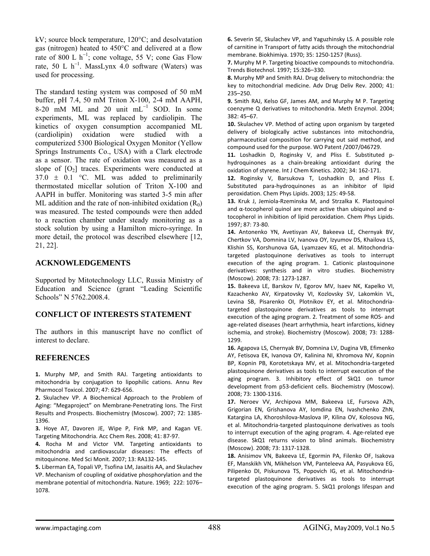kV; source block temperature, 120°C; and desolvatation gas (nitrogen) heated to 450°C and delivered at a flow rate of 800 L  $h^{-1}$ ; cone voltage, 55 V; cone Gas Flow rate, 50 L  $h^{-1}$ . MassLynx 4.0 software (Waters) was used for processing.

The standard testing system was composed of 50 mM buffer, pH 7.4, 50 mM Triton X-100, 2-4 mM AAPH, 8-20 mM ML and 20 unit  $mL^{-1}$  SOD. In some experiments, ML was replaced by cardiolipin. The kinetics of oxygen consumption accompanied ML (cardiolipin) oxidation were studied with a computerized 5300 Biological Oxygen Monitor (Yellow Springs Instruments Co., USA) with a Clark electrode as a sensor. The rate of oxidation was measured as a slope of  $[O_2]$  traces. Experiments were conducted at  $37.0 \pm 0.1$  °C. ML was added to preliminarily thermostated micellar solution of Triton X-100 and AAPH in buffer. Monitoring was started 3-5 min after ML addition and the rate of non-inhibited oxidation  $(R_0)$ was measured. The tested compounds were then added to a reaction chamber under steady monitoring as a stock solution by using a Hamilton micro-syringe. In more detail, the protocol was described elsewhere [12, 21, 22].

## **ACKNOWLEDGEMENTS**

Supported by Mitotechnology LLC, Russia Ministry of Education and Science (grant "Leading Scientific Schools" N 5762.2008.4.

# **CONFLICT OF INTERESTS STATEMENT**

The authors in this manuscript have no conflict of interest to declare.

# **REFERENCES**

**1.** Murphy MP, and Smith RAJ. Targeting antioxidants to mitochondria by conjugation to lipophilic cations. Annu Rev Pharmocol Toxicol. 2007; 47: 629‐656.

**2.** Skulachev VP. A Biochemical Approach to the Problem of Aging: "Megaproject" on Membrane‐Penetrating Ions. The First Results and Prospects. Biochemistry (Moscow). 2007; 72: 1385‐ 1396.

**3.** Hoye AT, Davoren JE, Wipe P, Fink MP, and Kagan VE. Targeting Mitochondria. Acc Chem Res. 2008; 41: 87‐97.

**4.** Rocha M and Victor VM. Targeting antioxidants to mitochondria and cardiovascular diseases: The effects of mitoquinone. Med Sci Monit. 2007; 13: RA132‐145.

**5.** Liberman EA, Topali VP, Tsofina LM, Jasaitis AA, and Skulachev VP. Mechanism of coupling of oxidative phosphorylation and the membrane potential of mitochondria. Nature. 1969; 222: 1076– 1078.

**6.** Severin SE, Skulachev VP, and Yaguzhinsky LS. A possible role of carnitine in Transport of fatty acids through the mitochondrial membrane. Biokhimiya. 1970; 35: 1250‐1257 (Russ).

**7.** Murphy M P. Targeting bioactive compounds to mitochondria. Trends Biotechnol. 1997; 15:326–330.

**8.** Murphy MP and Smith RAJ. Drug delivery to mitochondria: the key to mitochondrial medicine. Adv Drug Deliv Rev. 2000; 41: 235–250.

**9.** Smith RAJ, Kelso GF, James AM, and Murphy M P. Targeting coenzyme Q derivatives to mitochondria. Meth Enzymol. 2004; 382: 45–67.

**10.** Skulachev VP. Method of acting upon organism by targeted delivery of biologically active substances into mitochondria, pharmaceutical composition for carrying out said method, and compound used for the purpose. WO Patent /2007/046729.

**11.** Loshadkin D, Roginsky V, and Pliss E. Substituted p‐ hydroquinones as a chain‐breaking antioxidant during the oxidation of styrene. Int J Chem Kinetics. 2002; 34: 162‐171.

**12.** Roginsky V, Barsukova T, Loshadkin D, and Pliss E. Substituted para‐hydroquinones as an inhibitor of lipid peroxidation. Chem Phys Lipids. 2003; 125: 49‐58.

**13.** Kruk J, Jemiola‐Rzeminska M, and Strzalka K. Plastoquinol and  $\alpha$ -tocopherol quinol are more active than ubiquinol and  $\alpha$ tocopherol in inhibition of lipid peroxidation. Chem Phys Lipids. 1997; 87: 73‐80.

**14.** Antonenko YN, Avetisyan AV, Bakeeva LE, Chernyak BV, Chertkov VA, Domnina LV, Ivanova OY, Izyumov DS, Khailova LS, Klishin SS, Korshunova GA, Lyamzaev KG, et al. [Mitochondria](http://www.ncbi.nlm.nih.gov/pubmed/19120014?ordinalpos=6&itool=EntrezSystem2.PEntrez.Pubmed.Pubmed_ResultsPanel.Pubmed_DefaultReportPanel.Pubmed_RVDocSum)‐ targeted [plastoquinone](http://www.ncbi.nlm.nih.gov/pubmed/19120014?ordinalpos=6&itool=EntrezSystem2.PEntrez.Pubmed.Pubmed_ResultsPanel.Pubmed_DefaultReportPanel.Pubmed_RVDocSum) derivatives as tools to interrupt execution of the aging program. 1. Cationic [plastoquinone](http://www.ncbi.nlm.nih.gov/pubmed/19120014?ordinalpos=6&itool=EntrezSystem2.PEntrez.Pubmed.Pubmed_ResultsPanel.Pubmed_DefaultReportPanel.Pubmed_RVDocSum) [derivatives:](http://www.ncbi.nlm.nih.gov/pubmed/19120014?ordinalpos=6&itool=EntrezSystem2.PEntrez.Pubmed.Pubmed_ResultsPanel.Pubmed_DefaultReportPanel.Pubmed_RVDocSum) synthesis and in vitro studies. Biochemistry (Moscow). 2008; 73: 1273‐1287.

**15.** Bakeeva LE, Barskov IV, Egorov MV, Isaev NK, Kapelko VI, Kazachenko AV, Kirpatovsky VI, Kozlovsky SV, Lakomkin VL, Levina SB, Pisarenko OI, Plotnikov EY, et al. [Mitochondria](http://www.ncbi.nlm.nih.gov/pubmed/19120015?ordinalpos=5&itool=EntrezSystem2.PEntrez.Pubmed.Pubmed_ResultsPanel.Pubmed_DefaultReportPanel.Pubmed_RVDocSum)‐ targeted [plastoquinone](http://www.ncbi.nlm.nih.gov/pubmed/19120015?ordinalpos=5&itool=EntrezSystem2.PEntrez.Pubmed.Pubmed_ResultsPanel.Pubmed_DefaultReportPanel.Pubmed_RVDocSum) derivatives as tools to interrupt execution of the aging program. 2. [Treatment](http://www.ncbi.nlm.nih.gov/pubmed/19120015?ordinalpos=5&itool=EntrezSystem2.PEntrez.Pubmed.Pubmed_ResultsPanel.Pubmed_DefaultReportPanel.Pubmed_RVDocSum) of some ROS‐ and age‐related diseases (heart [arrhythmia,](http://www.ncbi.nlm.nih.gov/pubmed/19120015?ordinalpos=5&itool=EntrezSystem2.PEntrez.Pubmed.Pubmed_ResultsPanel.Pubmed_DefaultReportPanel.Pubmed_RVDocSum) heart infarctions, kidney [ischemia,](http://www.ncbi.nlm.nih.gov/pubmed/19120015?ordinalpos=5&itool=EntrezSystem2.PEntrez.Pubmed.Pubmed_ResultsPanel.Pubmed_DefaultReportPanel.Pubmed_RVDocSum) and stroke). Biochemistry (Moscow). 2008; 73: 1288‐ 1299.

**16.** Agapova LS, Chernyak BV, Domnina LV, Dugina VB, Efimenko AY, Fetisova EK, Ivanova OY, Kalinina NI, Khromova NV, Kopnin BP, Kopnin PB, Korotetskaya MV, et al. [Mitochondria](http://www.ncbi.nlm.nih.gov/pubmed/19120016?ordinalpos=4&itool=EntrezSystem2.PEntrez.Pubmed.Pubmed_ResultsPanel.Pubmed_DefaultReportPanel.Pubmed_RVDocSum)‐targeted [plastoquinone](http://www.ncbi.nlm.nih.gov/pubmed/19120016?ordinalpos=4&itool=EntrezSystem2.PEntrez.Pubmed.Pubmed_ResultsPanel.Pubmed_DefaultReportPanel.Pubmed_RVDocSum) derivatives as tools to interrupt execution of the aging program. 3. [Inhibitory](http://www.ncbi.nlm.nih.gov/pubmed/19120016?ordinalpos=4&itool=EntrezSystem2.PEntrez.Pubmed.Pubmed_ResultsPanel.Pubmed_DefaultReportPanel.Pubmed_RVDocSum) effect of SkQ1 on tumor [development](http://www.ncbi.nlm.nih.gov/pubmed/19120016?ordinalpos=4&itool=EntrezSystem2.PEntrez.Pubmed.Pubmed_ResultsPanel.Pubmed_DefaultReportPanel.Pubmed_RVDocSum) from p53‐deficient cells. Biochemistry (Moscow). 2008; 73: 1300‐1316.

**17.** Neroev VV, Archipova MM, Bakeeva LE, Fursova AZh, Grigorian EN, Grishanova AY, Iomdina EN, Ivashchenko ZhN, Katargina LA, Khoroshilova‐Maslova IP, Kilina OV, Kolosova NG, et al. Mitochondria‐targeted [plastoquinone](http://www.ncbi.nlm.nih.gov/pubmed/19120017?ordinalpos=3&itool=EntrezSystem2.PEntrez.Pubmed.Pubmed_ResultsPanel.Pubmed_DefaultReportPanel.Pubmed_RVDocSum) derivatives as tools to interrupt [execution](http://www.ncbi.nlm.nih.gov/pubmed/19120017?ordinalpos=3&itool=EntrezSystem2.PEntrez.Pubmed.Pubmed_ResultsPanel.Pubmed_DefaultReportPanel.Pubmed_RVDocSum) of the aging program. 4. Age‐related eye disease. SkQ1 returns vision to blind [animals.](http://www.ncbi.nlm.nih.gov/pubmed/19120017?ordinalpos=3&itool=EntrezSystem2.PEntrez.Pubmed.Pubmed_ResultsPanel.Pubmed_DefaultReportPanel.Pubmed_RVDocSum) Biochemistry (Moscow). 2008; 73: 1317‐1328.

**18.** Anisimov VN, Bakeeva LE, Egormin PA, Filenko OF, Isakova EF, Manskikh VN, Mikhelson VM, Panteleeva AA, Pasyukova EG, Pilipenko DI, Piskunova TS, Popovich IG, et al. [Mitochondria](http://www.ncbi.nlm.nih.gov/pubmed/19120018?ordinalpos=2&itool=EntrezSystem2.PEntrez.Pubmed.Pubmed_ResultsPanel.Pubmed_DefaultReportPanel.Pubmed_RVDocSum)‐ targeted [plastoquinone](http://www.ncbi.nlm.nih.gov/pubmed/19120018?ordinalpos=2&itool=EntrezSystem2.PEntrez.Pubmed.Pubmed_ResultsPanel.Pubmed_DefaultReportPanel.Pubmed_RVDocSum) derivatives as tools to interrupt [execution](http://www.ncbi.nlm.nih.gov/pubmed/19120018?ordinalpos=2&itool=EntrezSystem2.PEntrez.Pubmed.Pubmed_ResultsPanel.Pubmed_DefaultReportPanel.Pubmed_RVDocSum) of the aging program. 5. SkQ1 prolongs lifespan and